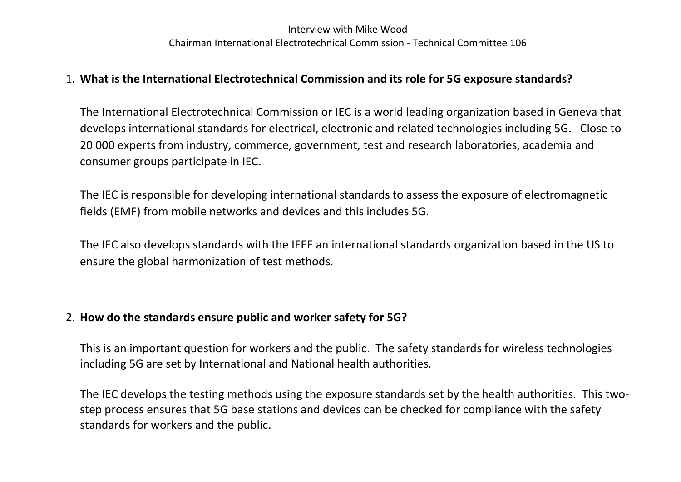## Interview with Mike Wood Chairman International Electrotechnical Commission - Technical Committee 106

## 1. What is the International Electrotechnical Commission and its role for 5G exposure standards?

The International Electrotechnical Commission or IEC is a world leading organization based in Geneva that develops international standards for electrical, electronic and related technologies including 5G. Close to 20 000 experts from industry, commerce, government, test and research laboratories, academia and consumer groups participate in IEC.

The IEC is responsible for developing international standards to assess the exposure of electromagnetic fields (EMF) from mobile networks and devices and this includes 5G.

The IEC also develops standards with the IEEE an international standards organization based in the US to ensure the global harmonization of test methods.

## 2. How do the standards ensure public and worker safety for 5G?

This is an important question for workers and the public. The safety standards for wireless technologies including 5G are set by International and National health authorities.

The IEC develops the testing methods using the exposure standards set by the health authorities. This twostep process ensures that 5G base stations and devices can be checked for compliance with the safety standards for workers and the public.